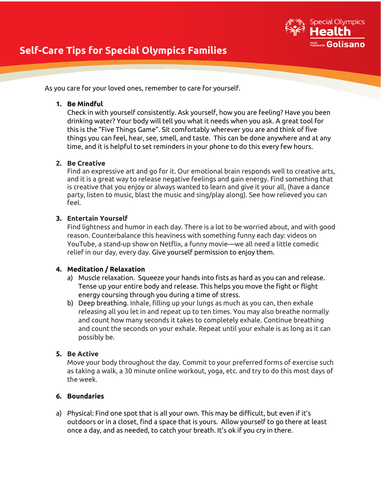

# **Self-Care Tips for Special Olympics Families**

As you care for your loved ones, remember to care for yourself.

## **1. Be Mindful**

Check in with yourself consistently. Ask yourself, how you are feeling? Have you been drinking water? Your body will tell you what it needs when you ask. A great tool for this is the "Five Things Game". Sit comfortably wherever you are and think of five things you can feel, hear, see, smell, and taste. This can be done anywhere and at any time, and it is helpful to set reminders in your phone to do this every few hours.

## **2. Be Creative**

Find an expressive art and go for it. Our emotional brain responds well to creative arts, and it is a great way to release negative feelings and gain energy. Find something that is creative that you enjoy or always wanted to learn and give it your all, (have a dance party, listen to music, blast the music and sing/play along). See how relieved you can feel.

## **3. Entertain Yourself**

Find lightness and humor in each day. There is a lot to be worried about, and with good reason. Counterbalance this heaviness with something funny each day: videos on YouTube, a stand-up show on Netflix, a funny movie—we all need a little comedic relief in our day, every day. Give yourself permission to enjoy them.

### **4. Meditation / Relaxation**

- a) Muscle relaxation. Squeeze your hands into fists as hard as you can and release. Tense up your entire body and release. This helps you move the fight or flight energy coursing through you during a time of stress.
- b) Deep breathing. Inhale, filling up your lungs as much as you can, then exhale releasing all you let in and repeat up to ten times. You may also breathe normally and count how many seconds it takes to completely exhale. Continue breathing and count the seconds on your exhale. Repeat until your exhale is as long as it can possibly be.

# **5. Be Active**

Move your body throughout the day. Commit to your preferred forms of exercise such as taking a walk, a 30 minute online workout, yoga, etc. and try to do this most days of the week.

# **6. Boundaries**

a) Physical: Find one spot that is all your own. This may be difficult, but even if it's outdoors or in a closet, find a space that is yours. Allow yourself to go there at least once a day, and as needed, to catch your breath. It's ok if you cry in there.